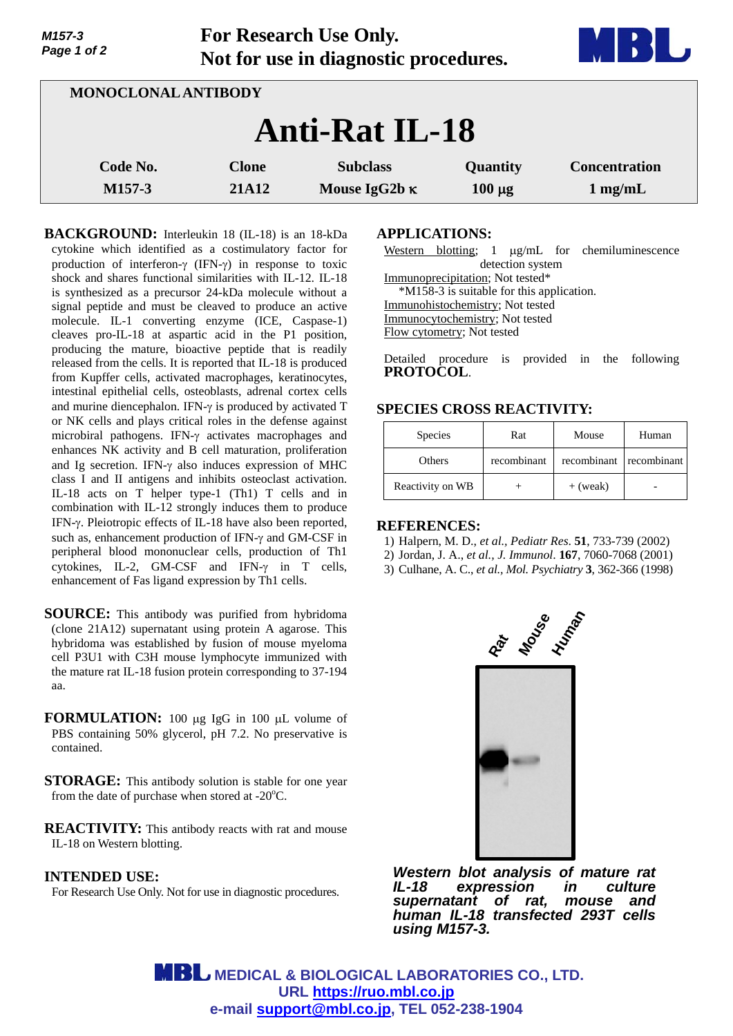| Page 1 of 2         |                              | $\sim$ 01 allocated the CDC Only.<br>Not for use in diagnostic procedures. |                         |                                   |  |  |  |
|---------------------|------------------------------|----------------------------------------------------------------------------|-------------------------|-----------------------------------|--|--|--|
| MONOCLONAL ANTIBODY |                              |                                                                            |                         |                                   |  |  |  |
|                     | <b>Anti-Rat IL-18</b>        |                                                                            |                         |                                   |  |  |  |
| Code No.<br>M157-3  | <b>Clone</b><br><b>21A12</b> | <b>Subclass</b><br>Mouse IgG2b $\kappa$                                    | Quantity<br>$100 \mu g$ | <b>Concentration</b><br>$1$ mg/mL |  |  |  |

**For Research Use Only.**

**BACKGROUND:** Interleukin 18 (IL-18) is an 18-kDa cytokine which identified as a costimulatory factor for production of interferon- $\gamma$  (IFN- $\gamma$ ) in response to toxic shock and shares functional similarities with IL-12. IL-18 is synthesized as a precursor 24-kDa molecule without a signal peptide and must be cleaved to produce an active molecule. IL-1 converting enzyme (ICE, Caspase-1) cleaves pro-IL-18 at aspartic acid in the P1 position, producing the mature, bioactive peptide that is readily released from the cells. It is reported that IL-18 is produced from Kupffer cells, activated macrophages, keratinocytes, intestinal epithelial cells, osteoblasts, adrenal cortex cells and murine diencephalon. IFN- $\gamma$  is produced by activated T or NK cells and plays critical roles in the defense against microbiral pathogens. IFN- $\gamma$  activates macrophages and enhances NK activity and B cell maturation, proliferation and Ig secretion. IFN- $\gamma$  also induces expression of MHC class I and II antigens and inhibits osteoclast activation. IL-18 acts on T helper type-1 (Th1) T cells and in combination with IL-12 strongly induces them to produce IFN- $\gamma$ . Pleiotropic effects of IL-18 have also been reported, such as, enhancement production of IFN- $\gamma$  and GM-CSF in peripheral blood mononuclear cells, production of Th1 cytokines, IL-2, GM-CSF and IFN- $\gamma$  in T cells, enhancement of Fas ligand expression by Th1 cells.

- **SOURCE:** This antibody was purified from hybridoma (clone 21A12) supernatant using protein A agarose. This hybridoma was established by fusion of mouse myeloma cell P3U1 with C3H mouse lymphocyte immunized with the mature rat IL-18 fusion protein corresponding to 37-194 aa.
- **FORMULATION:** 100 µg IgG in 100 µL volume of PBS containing 50% glycerol, pH 7.2. No preservative is contained.
- **STORAGE:** This antibody solution is stable for one year from the date of purchase when stored at - $20^{\circ}$ C.
- **REACTIVITY:** This antibody reacts with rat and mouse IL-18 on Western blotting.

## **INTENDED USE:**

*M157-3* 

For Research Use Only. Not for use in diagnostic procedures.

## **APPLICATIONS:**

Western blotting; 1  $\mu$ g/mL for chemiluminescence detection system Immunoprecipitation; Not tested\* \*M158-3 is suitable for this application. Immunohistochemistry; Not tested Immunocytochemistry; Not tested Flow cytometry; Not tested

Detailed procedure is provided in the following **PROTOCOL**.

# **SPECIES CROSS REACTIVITY:**

| <b>Species</b>   | Rat         | Mouse                   | Human |
|------------------|-------------|-------------------------|-------|
| <b>Others</b>    | recombinant | recombinant recombinant |       |
| Reactivity on WB |             | $+$ (weak)              |       |

### **REFERENCES:**

- 1) Halpern, M. D., *et al., Pediatr Res*. **51**, 733-739 (2002)
- 2) Jordan, J. A., *et al., J. Immunol*. **167**, 7060-7068 (2001)
- 3) Culhane, A. C., *et al., Mol. Psychiatry* **3**, 362-366 (1998)



*Western blot analysis of mature rat IL-18 expression in culture supernatant of rat, mouse and human IL-18 transfected 293T cells using M157-3.* 

**MBL** MEDICAL & BIOLOGICAL LABORATORIES CO., LTD. **URL https://ruo.mbl.co.jp e-mail support@mbl.co.jp, TEL 052-238-1904**